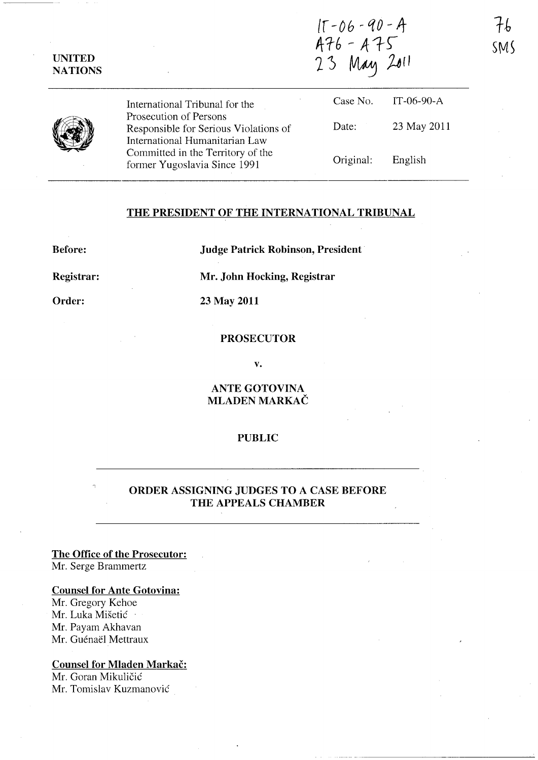$15 - 06 - 90 - 4$ <br> $476 - 475$ <br>23 May 2011

UNITED NATIONS

> International Tribunal for the Prosecution of Persons Responsible for Serious Violations of International Humanitarian Law Committed in the Territory of the former Yugoslavia Since 1991 Case No. Date: Original: IT-06-90-A 23 May 2011 English

## THE PRESIDENT OF THE INTERNATIONAL TRIBUNAL

Before:

Judge Patrick Robinson, President

Registrar:

Order:

Mr. John Hocking, Registrar

23 May 2011

### PROSECUTOR

v.

ANTE GOTOVINA MLADEN MARKAC

#### PUBLIC

# ORDER ASSIGNING JUDGES TO A CASE BEFORE THE APPEALS CHAMBER

The Office of the Prosecutor: Mr. Serge Brammertz

## Counsel for Ante Gotovina:

Mr. Gregory Kehoe Mr. Luka Mišetić Mr. Payam Akhavan Mr. Guénaël Mettraux

### Counsel for Mladen Markač:

Mr. Goran Mikuličić Mr. Tomislav Kuzmanovic

 $7\mathrm{\mathit{h}}$  $SMS$